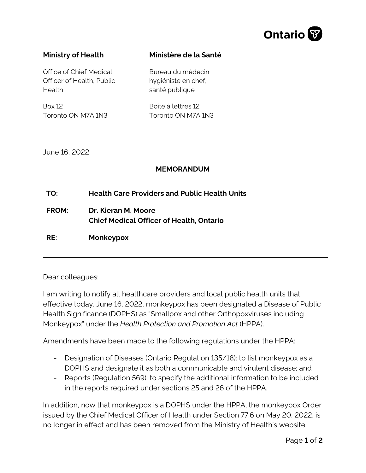

## **Ministry of Health**

**Ministère de la Santé**

Office of Chief Medical Officer of Health, Public Health

Box 12 Toronto ON M7A 1N3 Bureau du médecin hygiéniste en chef, santé publique

Boîte à lettres 12 Toronto ON M7A 1N3

June 16, 2022

## **MEMORANDUM**

**TO: FROM: Health Care Providers and Public Health Units Dr. Kieran M. Moore Chief Medical Officer of Health, Ontario RE: Monkeypox** 

Dear colleagues:

I am writing to notify all healthcare providers and local public health units that effective today, June 16, 2022, monkeypox has been designated a Disease of Public Health Significance (DOPHS) as "Smallpox and other Orthopoxviruses including Monkeypox" under the *Health Protection and Promotion Act* (HPPA).

Amendments have been made to the following regulations under the HPPA:

- Designation of Diseases (Ontario Regulation 135/18): to list monkeypox as a DOPHS and designate it as both a communicable and virulent disease; and
- Reports (Regulation 569): to specify the additional information to be included in the reports required under sections 25 and 26 of the HPPA.

In addition, now that monkeypox is a DOPHS under the HPPA, the monkeypox Order issued by the Chief Medical Officer of Health under Section 77.6 on May 20, 2022, is no longer in effect and has been removed from the Ministry of Health's website.